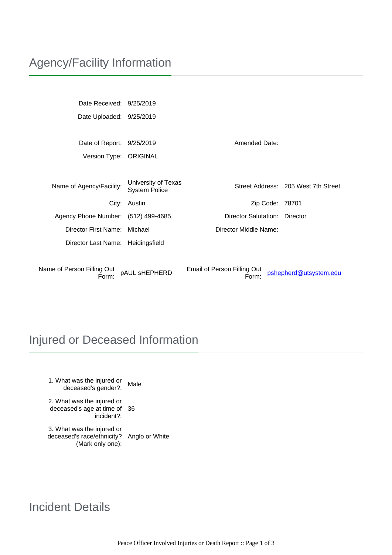Date Received: 9/25/2019 Date Uploaded: 9/25/2019

Date of Report: 9/25/2019 Mate of Report: 9/25/2019 Version Type: ORIGINAL

| Name of Agency/Facility:            | University of Texas<br><b>System Police</b> |                                      | Street Address: 205 West 7th Street |
|-------------------------------------|---------------------------------------------|--------------------------------------|-------------------------------------|
|                                     | City: Austin                                | Zip Code: 78701                      |                                     |
| Agency Phone Number: (512) 499-4685 |                                             | Director Salutation:                 | Director                            |
| Director First Name:                | Michael                                     | Director Middle Name:                |                                     |
| Director Last Name: Heidingsfield   |                                             |                                      |                                     |
|                                     |                                             |                                      |                                     |
| Name of Person Filling Out<br>Form: | pAUL sHEPHERD                               | Email of Person Filling Out<br>Form: | pshepherd@utsystem.edu              |

# Injured or Deceased Information

1. What was the injured or nat was the injured or<br>deceased's gender?: Male

2. What was the injured or deceased's age at time of 36 incident?:

3. What was the injured or deceased's race/ethnicity? Anglo or White (Mark only one):

# Incident Details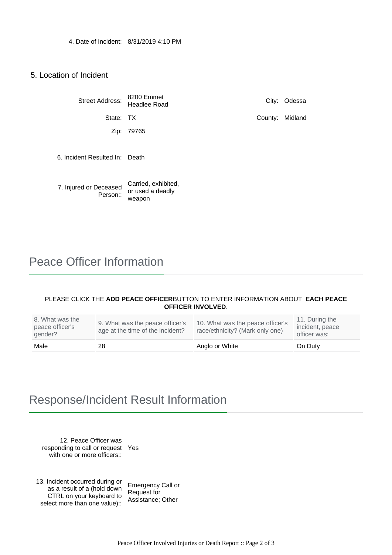### 5. Location of Incident

| <b>Street Address:</b>             | 8200 Emmet<br>Headlee Road                        | City:   | Odessa  |
|------------------------------------|---------------------------------------------------|---------|---------|
| State: TX                          |                                                   | County: | Midland |
| Zip:                               | 79765                                             |         |         |
| 6. Incident Resulted In: Death     |                                                   |         |         |
| 7. Injured or Deceased<br>Person:: | Carried, exhibited,<br>or used a deadly<br>weapon |         |         |

## Peace Officer Information

#### PLEASE CLICK THE **ADD PEACE OFFICER** BUTTON TO ENTER INFORMATION ABOUT **EACH PEACE OFFICER INVOLVED**.

| 8. What was the<br>peace officer's<br>gender? | 9. What was the peace officer's<br>age at the time of the incident? | 10. What was the peace officer's<br>race/ethnicity? (Mark only one) | 11. During the<br>incident, peace<br>officer was: |
|-----------------------------------------------|---------------------------------------------------------------------|---------------------------------------------------------------------|---------------------------------------------------|
| Male                                          | 28                                                                  | Anglo or White                                                      | On Duty                                           |

## Response/Incident Result Information

12. Peace Officer was responding to call or request Yes with one or more officers::

13. Incident occurred during or as a result of a (hold down CTRL on your keyboard to select more than one value):: Emergency Call or Request for Assistance; Other